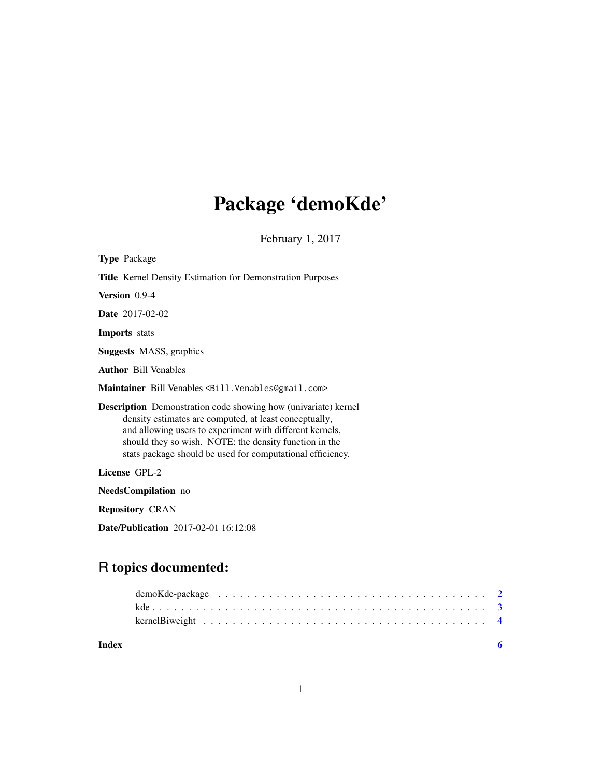# Package 'demoKde'

February 1, 2017

<span id="page-0-0"></span>

| <b>Type Package</b>                                                                                                                                                                                                                                                                                                 |  |  |
|---------------------------------------------------------------------------------------------------------------------------------------------------------------------------------------------------------------------------------------------------------------------------------------------------------------------|--|--|
| <b>Title</b> Kernel Density Estimation for Demonstration Purposes                                                                                                                                                                                                                                                   |  |  |
| Version 0.9-4                                                                                                                                                                                                                                                                                                       |  |  |
| <b>Date</b> 2017-02-02                                                                                                                                                                                                                                                                                              |  |  |
| <b>Imports</b> stats                                                                                                                                                                                                                                                                                                |  |  |
| <b>Suggests MASS</b> , graphics                                                                                                                                                                                                                                                                                     |  |  |
| <b>Author</b> Bill Venables                                                                                                                                                                                                                                                                                         |  |  |
| Maintainer Bill Venables <bill. venables@gmail.com=""></bill.>                                                                                                                                                                                                                                                      |  |  |
| <b>Description</b> Demonstration code showing how (univariate) kernel<br>density estimates are computed, at least conceptually,<br>and allowing users to experiment with different kernels,<br>should they so wish. NOTE: the density function in the<br>stats package should be used for computational efficiency. |  |  |
| License GPL-2                                                                                                                                                                                                                                                                                                       |  |  |
| <b>NeedsCompilation</b> no                                                                                                                                                                                                                                                                                          |  |  |
| <b>Repository CRAN</b>                                                                                                                                                                                                                                                                                              |  |  |
| <b>Date/Publication</b> 2017-02-01 16:12:08                                                                                                                                                                                                                                                                         |  |  |
|                                                                                                                                                                                                                                                                                                                     |  |  |

## R topics documented:

| Index |  |
|-------|--|

### 1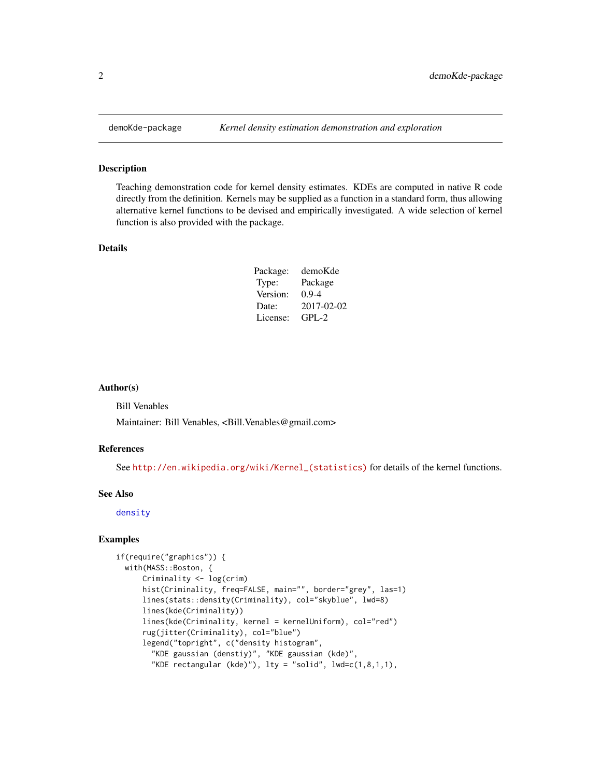#### Description

Teaching demonstration code for kernel density estimates. KDEs are computed in native R code directly from the definition. Kernels may be supplied as a function in a standard form, thus allowing alternative kernel functions to be devised and empirically investigated. A wide selection of kernel function is also provided with the package.

#### Details

| Package: | demoKde    |
|----------|------------|
| Type:    | Package    |
| Version: | $0.9 - 4$  |
| Date:    | 2017-02-02 |
| License: | $GPI - 2$  |

#### Author(s)

Bill Venables

Maintainer: Bill Venables, <Bill.Venables@gmail.com>

#### References

See [http://en.wikipedia.org/wiki/Kernel\\_\(statistics\)](http://en.wikipedia.org/wiki/Kernel_(statistics)) for details of the kernel functions.

#### See Also

[density](#page-0-0)

#### Examples

```
if(require("graphics")) {
 with(MASS::Boston, {
     Criminality <- log(crim)
     hist(Criminality, freq=FALSE, main="", border="grey", las=1)
     lines(stats::density(Criminality), col="skyblue", lwd=8)
     lines(kde(Criminality))
     lines(kde(Criminality, kernel = kernelUniform), col="red")
     rug(jitter(Criminality), col="blue")
     legend("topright", c("density histogram",
        "KDE gaussian (denstiy)", "KDE gaussian (kde)",
       "KDE rectangular (kde)"), lty = "solid", lwd=c(1,8,1,1),
```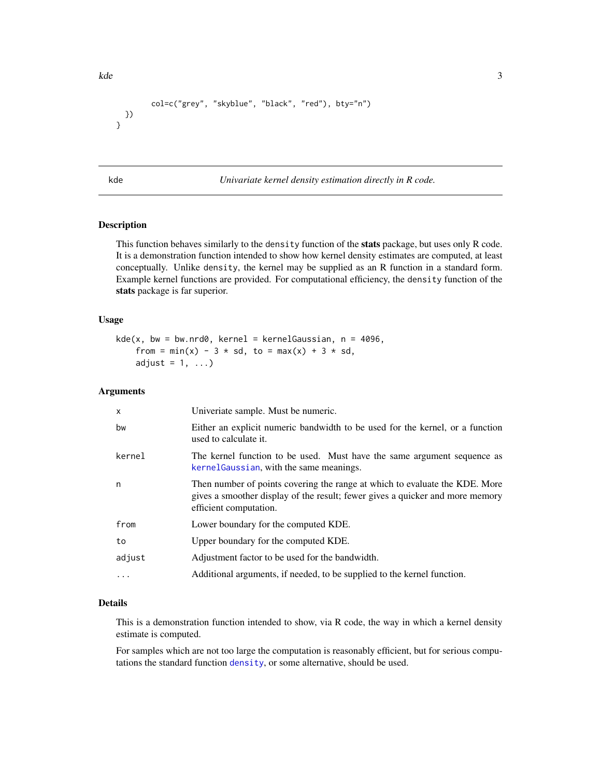```
col=c("grey", "skyblue", "black", "red"), bty="n")
 })
}
```
<span id="page-2-1"></span>

kde *Univariate kernel density estimation directly in R code.*

#### Description

This function behaves similarly to the density function of the stats package, but uses only R code. It is a demonstration function intended to show how kernel density estimates are computed, at least conceptually. Unlike density, the kernel may be supplied as an R function in a standard form. Example kernel functions are provided. For computational efficiency, the density function of the stats package is far superior.

#### Usage

```
kde(x, bw = bw.nrd0, kernel = kernelGaussian, n = 4096,from = min(x) - 3 * sd, to = max(x) + 3 * sd,
   adjust = 1, ...)
```
#### **Arguments**

| $\mathsf{x}$ | Univeriate sample. Must be numeric.                                                                                                                                                    |
|--------------|----------------------------------------------------------------------------------------------------------------------------------------------------------------------------------------|
| bw           | Either an explicit numeric bandwidth to be used for the kernel, or a function<br>used to calculate it.                                                                                 |
| kernel       | The kernel function to be used. Must have the same argument sequence as<br>kernelGaussian, with the same meanings.                                                                     |
| n            | Then number of points covering the range at which to evaluate the KDE. More<br>gives a smoother display of the result; fewer gives a quicker and more memory<br>efficient computation. |
| from         | Lower boundary for the computed KDE.                                                                                                                                                   |
| to           | Upper boundary for the computed KDE.                                                                                                                                                   |
| adjust       | Adjustment factor to be used for the bandwidth.                                                                                                                                        |
|              | Additional arguments, if needed, to be supplied to the kernel function.                                                                                                                |

#### Details

This is a demonstration function intended to show, via R code, the way in which a kernel density estimate is computed.

For samples which are not too large the computation is reasonably efficient, but for serious computations the standard function [density](#page-0-0), or some alternative, should be used.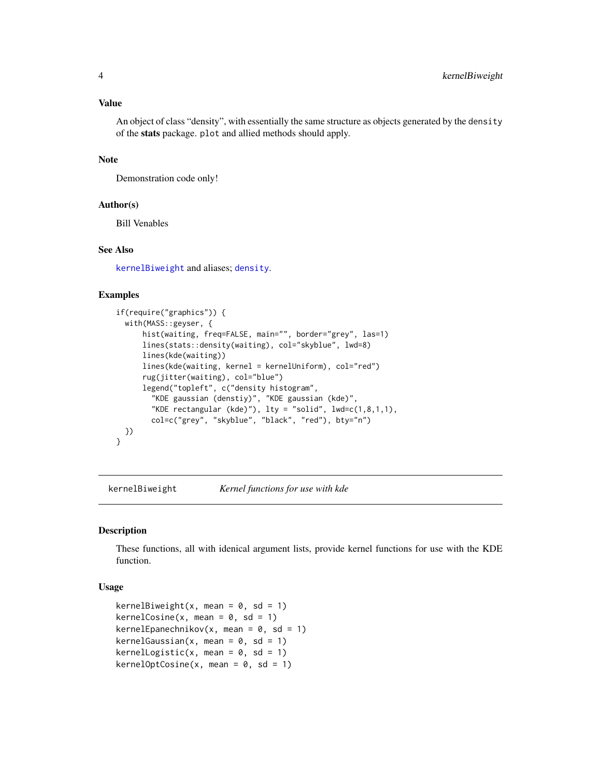#### <span id="page-3-0"></span>Value

An object of class "density", with essentially the same structure as objects generated by the density of the stats package. plot and allied methods should apply.

#### Note

Demonstration code only!

#### Author(s)

Bill Venables

#### See Also

[kernelBiweight](#page-3-2) and aliases; [density](#page-0-0).

#### Examples

```
if(require("graphics")) {
 with(MASS::geyser, {
     hist(waiting, freq=FALSE, main="", border="grey", las=1)
     lines(stats::density(waiting), col="skyblue", lwd=8)
     lines(kde(waiting))
     lines(kde(waiting, kernel = kernelUniform), col="red")
      rug(jitter(waiting), col="blue")
      legend("topleft", c("density histogram",
       "KDE gaussian (denstiy)", "KDE gaussian (kde)",
        "KDE rectangular (kde)"), lty = "solid", lwd=c(1,8,1,1),col=c("grey", "skyblue", "black", "red"), bty="n")
 })
}
```
<span id="page-3-2"></span>kernelBiweight *Kernel functions for use with kde*

#### <span id="page-3-1"></span>Description

These functions, all with idenical argument lists, provide kernel functions for use with the KDE function.

#### Usage

```
kernelBiweight(x, mean = 0, sd = 1)
kernelCosine(x, mean = 0, sd = 1)kernelEpanechnikov(x, mean = 0, sd = 1)
kernelGaussian(x, mean = 0, sd = 1)kernelLogistic(x, mean = 0, sd = 1)
kernelOptCosine(x, mean = 0, sd = 1)
```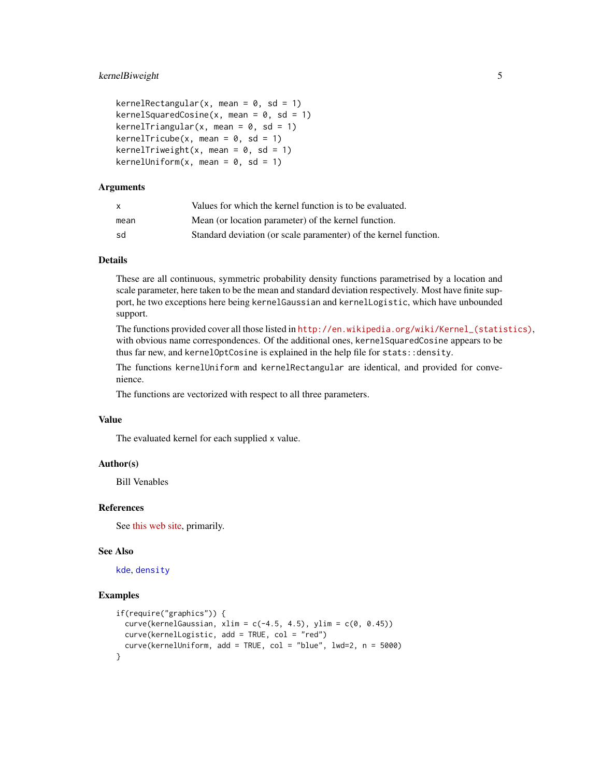#### <span id="page-4-0"></span>kernelBiweight 5

```
kernelRectangular(x, mean = 0, sd = 1)
kernelSquaredCosine(x, mean = 0, sd = 1)
kernelTriangular(x, mean = 0, sd = 1)
kernelTricube(x, mean = 0, sd = 1)
kernelTriweight(x, mean = 0, sd = 1)
kernelUniform(x, mean = 0, sd = 1)
```
#### Arguments

| X    | Values for which the kernel function is to be evaluated.        |
|------|-----------------------------------------------------------------|
| mean | Mean (or location parameter) of the kernel function.            |
| sd   | Standard deviation (or scale parameter) of the kernel function. |

#### Details

These are all continuous, symmetric probability density functions parametrised by a location and scale parameter, here taken to be the mean and standard deviation respectively. Most have finite support, he two exceptions here being kernelGaussian and kernelLogistic, which have unbounded support.

The functions provided cover all those listed in [http://en.wikipedia.org/wiki/Kernel\\_\(statistics\)](http://en.wikipedia.org/wiki/Kernel_(statistics)), with obvious name correspondences. Of the additional ones, kernelSquaredCosine appears to be thus far new, and kernelOptCosine is explained in the help file for stats::density.

The functions kernelUniform and kernelRectangular are identical, and provided for convenience.

The functions are vectorized with respect to all three parameters.

#### Value

The evaluated kernel for each supplied x value.

#### Author(s)

Bill Venables

#### References

See [this web site,](http://en.wikipedia.org/wiki/Kernel_(statistics)) primarily.

#### See Also

[kde](#page-2-1), [density](#page-0-0)

#### Examples

```
if(require("graphics")) {
 curve(kernelGaussian, xlim = c(-4.5, 4.5), ylim = c(0, 0.45))
 curve(kernelLogistic, add = TRUE, col = "red")
 curve(kernelUniform, add = TRUE, col = "blue", lwd=2, n = 5000)
}
```